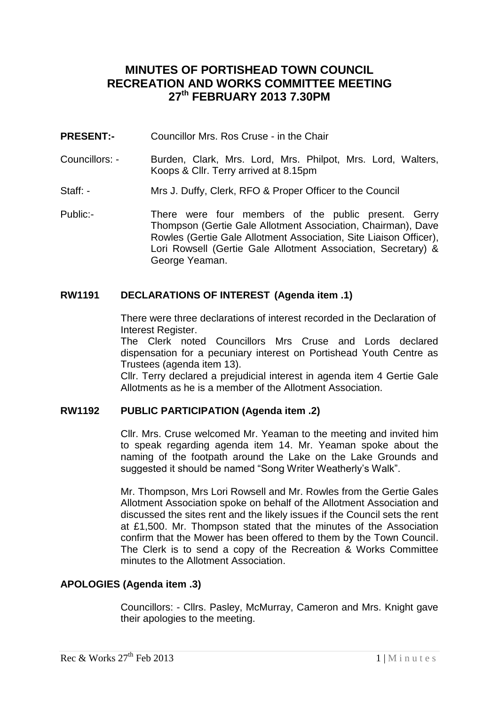# **MINUTES OF PORTISHEAD TOWN COUNCIL RECREATION AND WORKS COMMITTEE MEETING 27th FEBRUARY 2013 7.30PM**

- **PRESENT:-** Councillor Mrs. Ros Cruse in the Chair
- Councillors: Burden, Clark, Mrs. Lord, Mrs. Philpot, Mrs. Lord, Walters, Koops & Cllr. Terry arrived at 8.15pm
- Staff: Mrs J. Duffy, Clerk, RFO & Proper Officer to the Council
- Public:- There were four members of the public present. Gerry Thompson (Gertie Gale Allotment Association, Chairman), Dave Rowles (Gertie Gale Allotment Association, Site Liaison Officer), Lori Rowsell (Gertie Gale Allotment Association, Secretary) & George Yeaman.

## **RW1191 DECLARATIONS OF INTEREST (Agenda item .1)**

There were three declarations of interest recorded in the Declaration of Interest Register.

The Clerk noted Councillors Mrs Cruse and Lords declared dispensation for a pecuniary interest on Portishead Youth Centre as Trustees (agenda item 13).

Cllr. Terry declared a prejudicial interest in agenda item 4 Gertie Gale Allotments as he is a member of the Allotment Association.

### **RW1192 PUBLIC PARTICIPATION (Agenda item .2)**

Cllr. Mrs. Cruse welcomed Mr. Yeaman to the meeting and invited him to speak regarding agenda item 14. Mr. Yeaman spoke about the naming of the footpath around the Lake on the Lake Grounds and suggested it should be named "Song Writer Weatherly's Walk".

Mr. Thompson, Mrs Lori Rowsell and Mr. Rowles from the Gertie Gales Allotment Association spoke on behalf of the Allotment Association and discussed the sites rent and the likely issues if the Council sets the rent at £1,500. Mr. Thompson stated that the minutes of the Association confirm that the Mower has been offered to them by the Town Council. The Clerk is to send a copy of the Recreation & Works Committee minutes to the Allotment Association.

## **APOLOGIES (Agenda item .3)**

Councillors: - Cllrs. Pasley, McMurray, Cameron and Mrs. Knight gave their apologies to the meeting.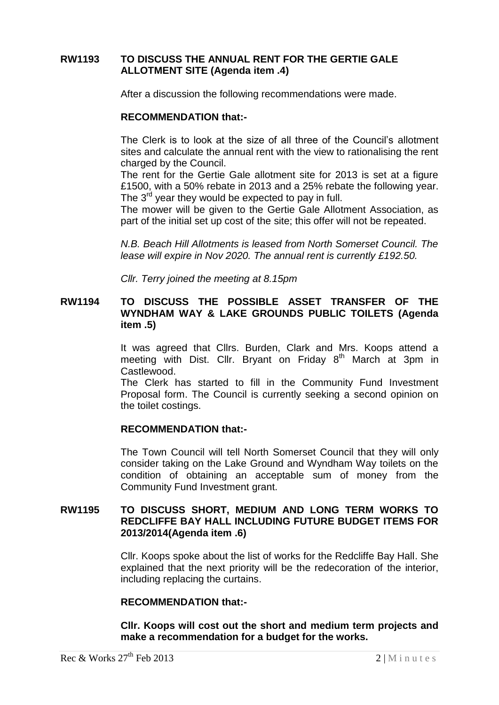## **RW1193 TO DISCUSS THE ANNUAL RENT FOR THE GERTIE GALE ALLOTMENT SITE (Agenda item .4)**

After a discussion the following recommendations were made.

#### **RECOMMENDATION that:-**

The Clerk is to look at the size of all three of the Council's allotment sites and calculate the annual rent with the view to rationalising the rent charged by the Council.

The rent for the Gertie Gale allotment site for 2013 is set at a figure £1500, with a 50% rebate in 2013 and a 25% rebate the following year. The 3<sup>rd</sup> year they would be expected to pay in full.

The mower will be given to the Gertie Gale Allotment Association, as part of the initial set up cost of the site; this offer will not be repeated.

*N.B. Beach Hill Allotments is leased from North Somerset Council. The lease will expire in Nov 2020. The annual rent is currently £192.50.*

*Cllr. Terry joined the meeting at 8.15pm*

## **RW1194 TO DISCUSS THE POSSIBLE ASSET TRANSFER OF THE WYNDHAM WAY & LAKE GROUNDS PUBLIC TOILETS (Agenda item .5)**

It was agreed that Cllrs. Burden, Clark and Mrs. Koops attend a meeting with Dist. Cllr. Bryant on Friday  $8<sup>th</sup>$  March at 3pm in Castlewood.

The Clerk has started to fill in the Community Fund Investment Proposal form. The Council is currently seeking a second opinion on the toilet costings.

#### **RECOMMENDATION that:-**

The Town Council will tell North Somerset Council that they will only consider taking on the Lake Ground and Wyndham Way toilets on the condition of obtaining an acceptable sum of money from the Community Fund Investment grant.

## **RW1195 TO DISCUSS SHORT, MEDIUM AND LONG TERM WORKS TO REDCLIFFE BAY HALL INCLUDING FUTURE BUDGET ITEMS FOR 2013/2014(Agenda item .6)**

Cllr. Koops spoke about the list of works for the Redcliffe Bay Hall. She explained that the next priority will be the redecoration of the interior, including replacing the curtains.

### **RECOMMENDATION that:-**

**Cllr. Koops will cost out the short and medium term projects and make a recommendation for a budget for the works.**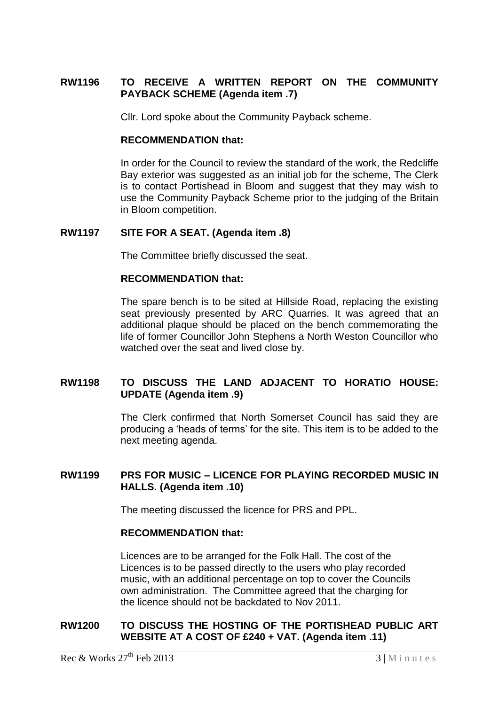## **RW1196 TO RECEIVE A WRITTEN REPORT ON THE COMMUNITY PAYBACK SCHEME (Agenda item .7)**

Cllr. Lord spoke about the Community Payback scheme.

#### **RECOMMENDATION that:**

In order for the Council to review the standard of the work, the Redcliffe Bay exterior was suggested as an initial job for the scheme, The Clerk is to contact Portishead in Bloom and suggest that they may wish to use the Community Payback Scheme prior to the judging of the Britain in Bloom competition.

### **RW1197 SITE FOR A SEAT. (Agenda item .8)**

The Committee briefly discussed the seat.

### **RECOMMENDATION that:**

The spare bench is to be sited at Hillside Road, replacing the existing seat previously presented by ARC Quarries. It was agreed that an additional plaque should be placed on the bench commemorating the life of former Councillor John Stephens a North Weston Councillor who watched over the seat and lived close by.

## **RW1198 TO DISCUSS THE LAND ADJACENT TO HORATIO HOUSE: UPDATE (Agenda item .9)**

The Clerk confirmed that North Somerset Council has said they are producing a 'heads of terms' for the site. This item is to be added to the next meeting agenda.

## **RW1199 PRS FOR MUSIC – LICENCE FOR PLAYING RECORDED MUSIC IN HALLS. (Agenda item .10)**

The meeting discussed the licence for PRS and PPL.

### **RECOMMENDATION that:**

Licences are to be arranged for the Folk Hall. The cost of the Licences is to be passed directly to the users who play recorded music, with an additional percentage on top to cover the Councils own administration. The Committee agreed that the charging for the licence should not be backdated to Nov 2011.

## **RW1200 TO DISCUSS THE HOSTING OF THE PORTISHEAD PUBLIC ART WEBSITE AT A COST OF £240 + VAT. (Agenda item .11)**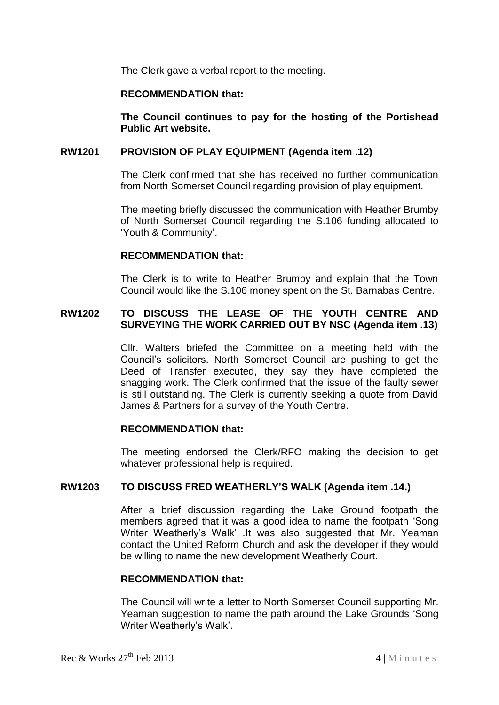The Clerk gave a verbal report to the meeting.

#### **RECOMMENDATION that:**

**The Council continues to pay for the hosting of the Portishead Public Art website.**

### **RW1201 PROVISION OF PLAY EQUIPMENT (Agenda item .12)**

The Clerk confirmed that she has received no further communication from North Somerset Council regarding provision of play equipment.

The meeting briefly discussed the communication with Heather Brumby of North Somerset Council regarding the S.106 funding allocated to 'Youth & Community'.

#### **RECOMMENDATION that:**

The Clerk is to write to Heather Brumby and explain that the Town Council would like the S.106 money spent on the St. Barnabas Centre.

### **RW1202 TO DISCUSS THE LEASE OF THE YOUTH CENTRE AND SURVEYING THE WORK CARRIED OUT BY NSC (Agenda item .13)**

Cllr. Walters briefed the Committee on a meeting held with the Council's solicitors. North Somerset Council are pushing to get the Deed of Transfer executed, they say they have completed the snagging work. The Clerk confirmed that the issue of the faulty sewer is still outstanding. The Clerk is currently seeking a quote from David James & Partners for a survey of the Youth Centre.

#### **RECOMMENDATION that:**

The meeting endorsed the Clerk/RFO making the decision to get whatever professional help is required.

### **RW1203 TO DISCUSS FRED WEATHERLY'S WALK (Agenda item .14.)**

After a brief discussion regarding the Lake Ground footpath the members agreed that it was a good idea to name the footpath 'Song Writer Weatherly's Walk' .It was also suggested that Mr. Yeaman contact the United Reform Church and ask the developer if they would be willing to name the new development Weatherly Court.

### **RECOMMENDATION that:**

The Council will write a letter to North Somerset Council supporting Mr. Yeaman suggestion to name the path around the Lake Grounds 'Song Writer Weatherly's Walk'.